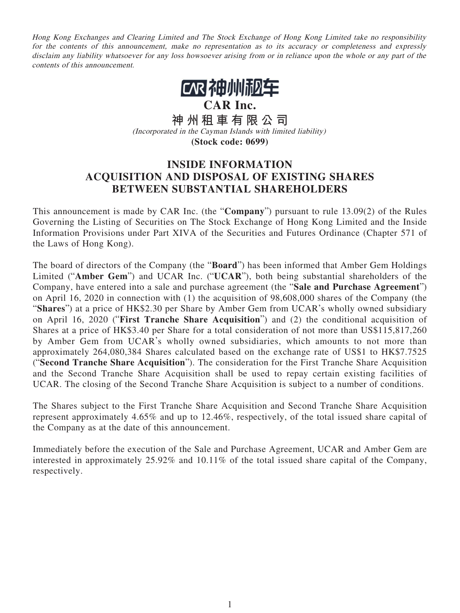Hong Kong Exchanges and Clearing Limited and The Stock Exchange of Hong Kong Limited take no responsibility for the contents of this announcement, make no representation as to its accuracy or completeness and expressly disclaim any liability whatsoever for any loss howsoever arising from or in reliance upon the whole or any part of the contents of this announcement.



**CAR Inc.**

**神州租車有限公司** (Incorporated in the Cayman Islands with limited liability) **(Stock code: 0699)**

## **INSIDE INFORMATION ACQUISITION AND DISPOSAL OF EXISTING SHARES BETWEEN SUBSTANTIAL SHAREHOLDERS**

This announcement is made by CAR Inc. (the "**Company**") pursuant to rule 13.09(2) of the Rules Governing the Listing of Securities on The Stock Exchange of Hong Kong Limited and the Inside Information Provisions under Part XIVA of the Securities and Futures Ordinance (Chapter 571 of the Laws of Hong Kong).

The board of directors of the Company (the "**Board**") has been informed that Amber Gem Holdings Limited ("**Amber Gem**") and UCAR Inc. ("**UCAR**"), both being substantial shareholders of the Company, have entered into a sale and purchase agreement (the "**Sale and Purchase Agreement**") on April 16, 2020 in connection with (1) the acquisition of 98,608,000 shares of the Company (the "**Shares**") at a price of HK\$2.30 per Share by Amber Gem from UCAR's wholly owned subsidiary on April 16, 2020 ("**First Tranche Share Acquisition**") and (2) the conditional acquisition of Shares at a price of HK\$3.40 per Share for a total consideration of not more than US\$115,817,260 by Amber Gem from UCAR's wholly owned subsidiaries, which amounts to not more than approximately 264,080,384 Shares calculated based on the exchange rate of US\$1 to HK\$7.7525 ("**Second Tranche Share Acquisition**"). The consideration for the First Tranche Share Acquisition and the Second Tranche Share Acquisition shall be used to repay certain existing facilities of UCAR. The closing of the Second Tranche Share Acquisition is subject to a number of conditions.

The Shares subject to the First Tranche Share Acquisition and Second Tranche Share Acquisition represent approximately 4.65% and up to 12.46%, respectively, of the total issued share capital of the Company as at the date of this announcement.

Immediately before the execution of the Sale and Purchase Agreement, UCAR and Amber Gem are interested in approximately 25.92% and 10.11% of the total issued share capital of the Company, respectively.